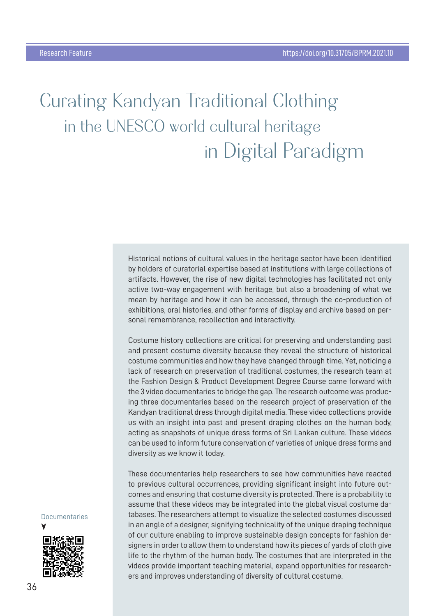# **Çurating Kandyan Traditional Çlothing in the UNESÇO world cultural heritage in Digital Paradigm**

Historical notions of cultural values in the heritage sector have been identified by holders of curatorial expertise based at institutions with large collections of artifacts. However, the rise of new digital technologies has facilitated not only active two-way engagement with heritage, but also a broadening of what we mean by heritage and how it can be accessed, through the co-production of exhibitions, oral histories, and other forms of display and archive based on personal remembrance, recollection and interactivity.

Costume history collections are critical for preserving and understanding past and present costume diversity because they reveal the structure of historical costume communities and how they have changed through time. Yet, noticing a lack of research on preservation of traditional costumes, the research team at the Fashion Design & Product Development Degree Course came forward with the 3 video documentaries to bridge the gap. The research outcome was producing three documentaries based on the research project of preservation of the Kandyan traditional dress through digital media. These video collections provide us with an insight into past and present draping clothes on the human body, acting as snapshots of unique dress forms of Sri Lankan culture. These videos can be used to inform future conservation of varieties of unique dress forms and diversity as we know it today.

These documentaries help researchers to see how communities have reacted to previous cultural occurrences, providing significant insight into future outcomes and ensuring that costume diversity is protected. There is a probability to assume that these videos may be integrated into the global visual costume databases. The researchers attempt to visualize the selected costumes discussed in an angle of a designer, signifying technicality of the unique draping technique of our culture enabling to improve sustainable design concepts for fashion designers in order to allow them to understand how its pieces of yards of cloth give life to the rhythm of the human body. The costumes that are interpreted in the videos provide important teaching material, expand opportunities for researchers and improves understanding of diversity of cultural costume.

## **Documentaries**

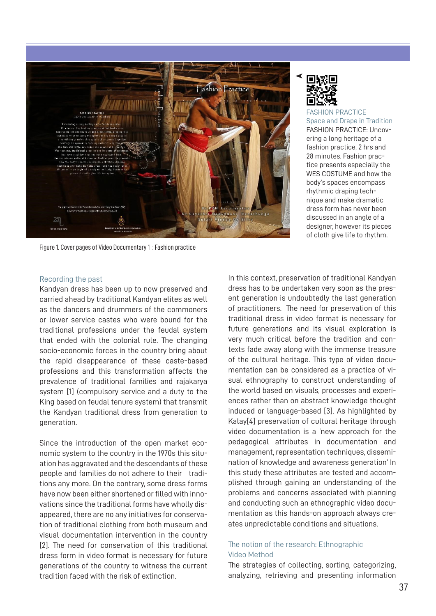

Figure 1. Cover pages of Video Documentary 1 : Fashion practice

FASHION PRACTICE Space and Drape in Tradition FASHION PRACTICE: Uncovering a long heritage of a fashion practice, 2 hrs and 28 minutes. Fashion practice presents especially the WES COSTUME and how the body's spaces encompass rhythmic draping technique and make dramatic dress form has never been discussed in an angle of a designer, however its pieces of cloth give life to rhythm.

#### Recording the past

Kandyan dress has been up to now preserved and carried ahead by traditional Kandyan elites as well as the dancers and drummers of the commoners or lower service castes who were bound for the traditional professions under the feudal system that ended with the colonial rule. The changing socio-economic forces in the country bring about the rapid disappearance of these caste-based professions and this transformation affects the prevalence of traditional families and rajakarya system [1] (compulsory service and a duty to the King based on feudal tenure system) that transmit the Kandyan traditional dress from generation to generation.

Since the introduction of the open market economic system to the country in the 1970s this situation has aggravated and the descendants of these people and families do not adhere to their traditions any more. On the contrary, some dress forms have now been either shortened or filled with innovations since the traditional forms have wholly disappeared, there are no any initiatives for conservation of traditional clothing from both museum and visual documentation intervention in the country [2]. The need for conservation of this traditional dress form in video format is necessary for future generations of the country to witness the current tradition faced with the risk of extinction.

In this context, preservation of traditional Kandyan dress has to be undertaken very soon as the present generation is undoubtedly the last generation of practitioners. The need for preservation of this traditional dress in video format is necessary for future generations and its visual exploration is very much critical before the tradition and contexts fade away along with the immense treasure of the cultural heritage. This type of video documentation can be considered as a practice of visual ethnography to construct understanding of the world based on visuals, processes and experiences rather than on abstract knowledge thought induced or language-based [3]. As highlighted by Kalay[4] preservation of cultural heritage through video documentation is a 'new approach for the pedagogical attributes in documentation and management, representation techniques, dissemination of knowledge and awareness generation' In this study these attributes are tested and accomplished through gaining an understanding of the problems and concerns associated with planning and conducting such an ethnographic video documentation as this hands-on approach always creates unpredictable conditions and situations.

### The notion of the research: Ethnographic Video Method

The strategies of collecting, sorting, categorizing, analyzing, retrieving and presenting information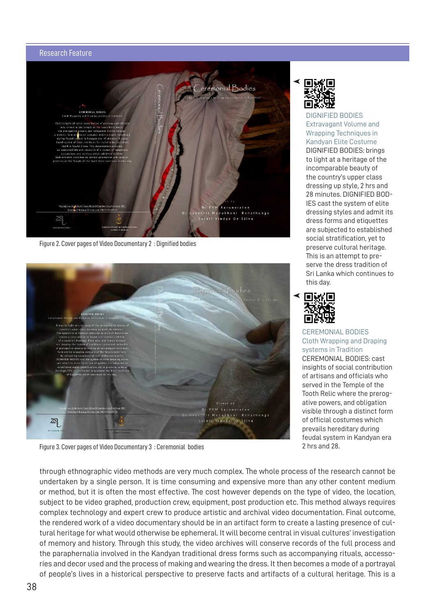### Research Feature



Figure 2. Cover pages of Video Documentary 2 : Dignified bodies



Figure 3. Cover pages of Video Documentary 3 : Ceremonial bodies

DIGNIFIED BODIES Extravagant Volume and Wrapping Techniques in Kandyan Elite Costume DIGNIFIED BODIES: brings to light at a heritage of the incomparable beauty of the country's upper class dressing up style, 2 hrs and 28 minutes. DIGNIFIED BOD-IES cast the system of elite dressing styles and admit its dress forms and etiquettes are subjected to established social stratification, yet to preserve cultural heritage. This is an attempt to preserve the dress tradition of Sri Lanka which continues to this day.



CEREMONIAL BODIES Cloth Wrapping and Draping systems in Tradition CEREMONIAL BODIES: cast insights of social contribution of artisans and officials who served in the Temple of the Tooth Relic where the prerogative powers, and obligation visible through a distinct form of official costumes which prevails hereditary during feudal system in Kandyan era 2 hrs and 28.

through ethnographic video methods are very much complex. The whole process of the research cannot be undertaken by a single person. It is time consuming and expensive more than any other content medium or method, but it is often the most effective. The cost however depends on the type of video, the location, subject to be video graphed, production crew, equipment, post production etc. This method always requires complex technology and expert crew to produce artistic and archival video documentation. Final outcome, the rendered work of a video documentary should be in an artifact form to create a lasting presence of cultural heritage for what would otherwise be ephemeral. It will become central in visual cultures' investigation of memory and history. Through this study, the video archives will conserve records of the full process and the paraphernalia involved in the Kandyan traditional dress forms such as accompanying rituals, accessories and decor used and the process of making and wearing the dress. It then becomes a mode of a portrayal of people's lives in a historical perspective to preserve facts and artifacts of a cultural heritage. This is a